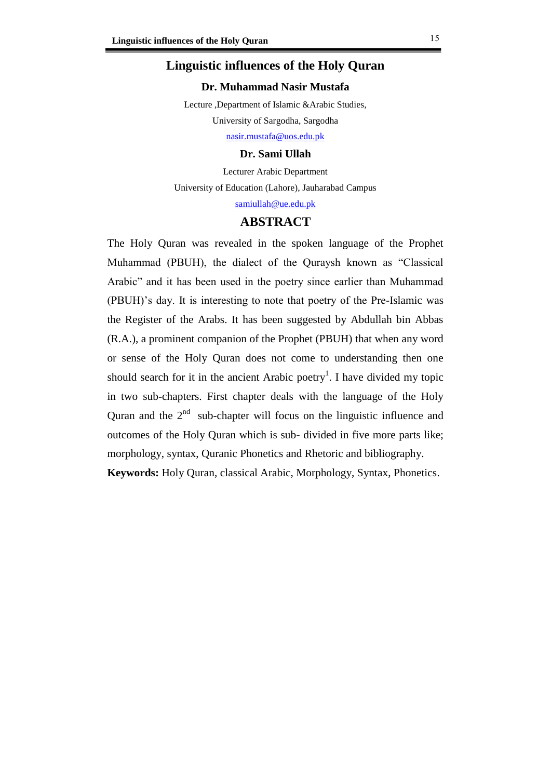## **Linguistic influences of the Holy Quran**

### **Dr. Muhammad Nasir Mustafa**

Lecture ,Department of Islamic &Arabic Studies, University of Sargodha, Sargodha

[nasir.mustafa@uos.edu.pk](mailto:nasir.mustafa@uos.edu.pk)

#### **Dr. Sami Ullah**

Lecturer Arabic Department University of Education (Lahore), Jauharabad Campus [samiullah@ue.edu.pk](mailto:samiullah@ue.edu.pk)

### **ABSTRACT**

The Holy Quran was revealed in the spoken language of the Prophet Muhammad (PBUH), the dialect of the Quraysh known as "Classical Arabic" and it has been used in the poetry since earlier than Muhammad (PBUH)'s day. It is interesting to note that poetry of the Pre-Islamic was the Register of the Arabs. It has been suggested by Abdullah bin Abbas (R.A.), a prominent companion of the Prophet (PBUH) that when any word or sense of the Holy Quran does not come to understanding then one should search for it in the ancient Arabic poetry<sup>1</sup>. I have divided my topic in two sub-chapters. First chapter deals with the language of the Holy Quran and the  $2<sup>nd</sup>$  sub-chapter will focus on the linguistic influence and outcomes of the Holy Quran which is sub- divided in five more parts like; morphology, syntax, Quranic Phonetics and Rhetoric and bibliography. **Keywords:** Holy Quran, classical Arabic, Morphology, Syntax, Phonetics.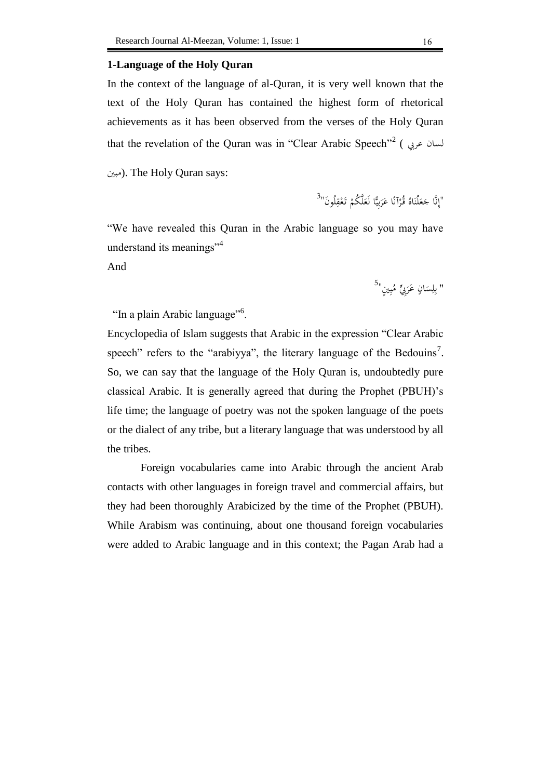#### **1-Language of the Holy Quran**

In the context of the language of al-Quran, it is very well known that the text of the Holy Quran has contained the highest form of rhetorical achievements as it has been observed from the verses of the Holy Quran that the revelation of the Quran was in ''Clear Arabic Speech''<sup>2</sup> ( لسان عربي

مبني(. The Holy Quran says:

 $^{\left( 3\right) }$ إِنَّا جَعَلْنَاهُ قُرْآنًا عَرَبِيًّا لَعَلَّكُمْ تَعْقِلُونَ $^{\left( 7\right) }$ ِ .<br>. َ َ ً ي<br>يا َ ر<br>أ ِ ْ َ

"We have revealed this Quran in the Arabic language so you may have understand its meanings<sup>"4</sup>

And

" بِلِسَانٍ عَرَبِيٍّ مُبِينٍ<sup>"5</sup> ب َ َ  $\ddot{\phantom{0}}$ ِ با

"In a plain Arabic language"<sup>6</sup>.

Encyclopedia of Islam suggests that Arabic in the expression "Clear Arabic speech" refers to the "arabiyya", the literary language of the Bedouins<sup>7</sup>. So, we can say that the language of the Holy Quran is, undoubtedly pure classical Arabic. It is generally agreed that during the Prophet (PBUH)'s life time; the language of poetry was not the spoken language of the poets or the dialect of any tribe, but a literary language that was understood by all the tribes.

Foreign vocabularies came into Arabic through the ancient Arab contacts with other languages in foreign travel and commercial affairs, but they had been thoroughly Arabicized by the time of the Prophet (PBUH). While Arabism was continuing, about one thousand foreign vocabularies were added to Arabic language and in this context; the Pagan Arab had a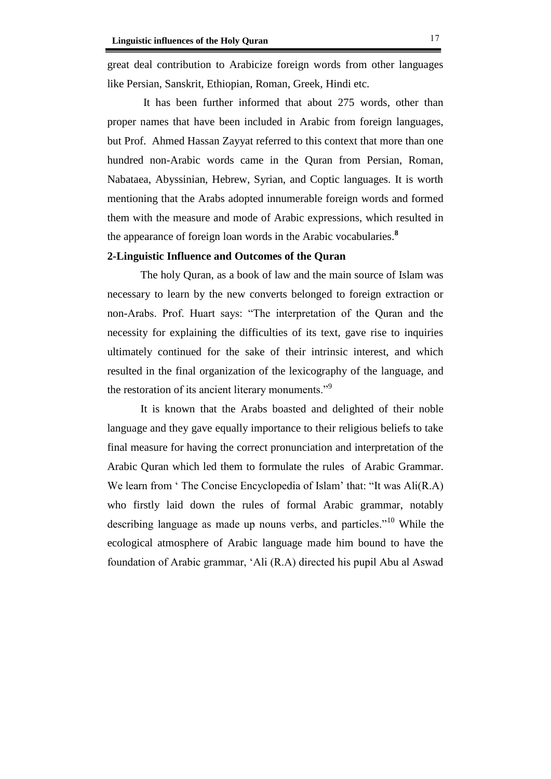great deal contribution to Arabicize foreign words from other languages like Persian, Sanskrit, Ethiopian, Roman, Greek, Hindi etc.

It has been further informed that about 275 words, other than proper names that have been included in Arabic from foreign languages, but Prof. Ahmed Hassan Zayyat referred to this context that more than one hundred non-Arabic words came in the Quran from Persian, Roman, Nabataea, Abyssinian, Hebrew, Syrian, and Coptic languages. It is worth mentioning that the Arabs adopted innumerable foreign words and formed them with the measure and mode of Arabic expressions, which resulted in the appearance of foreign loan words in the Arabic vocabularies.**<sup>8</sup>**

### **2-Linguistic Influence and Outcomes of the Quran**

The holy Quran, as a book of law and the main source of Islam was necessary to learn by the new converts belonged to foreign extraction or non-Arabs. Prof. Huart says: "The interpretation of the Quran and the necessity for explaining the difficulties of its text, gave rise to inquiries ultimately continued for the sake of their intrinsic interest, and which resulted in the final organization of the lexicography of the language, and the restoration of its ancient literary monuments."<sup>9</sup>

It is known that the Arabs boasted and delighted of their noble language and they gave equally importance to their religious beliefs to take final measure for having the correct pronunciation and interpretation of the Arabic Quran which led them to formulate the rules of Arabic Grammar. We learn from 'The Concise Encyclopedia of Islam' that: "It was Ali(R.A) who firstly laid down the rules of formal Arabic grammar, notably describing language as made up nouns verbs, and particles."<sup>10</sup> While the ecological atmosphere of Arabic language made him bound to have the foundation of Arabic grammar, 'Ali (R.A) directed his pupil Abu al Aswad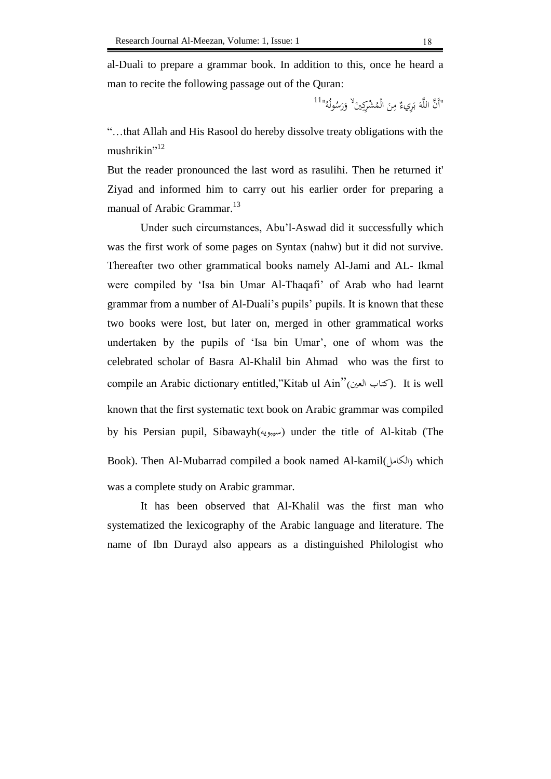al-Duali to prepare a grammar book. In addition to this, once he heard a man to recite the following passage out of the Quran:

> "أَنَّ اللَّهَ بَرِيءٌ مِنَ الْمُشْرِكِينَ<sup>لا</sup> وَرَسُولُهُ"<sup>11</sup> َ .<br>أ ب َ ∕' َ َ

"…that Allah and His Rasool do hereby dissolve treaty obligations with the mushrikin"<sup>12</sup>

But the reader pronounced the last word as rasulihi. Then he returned it' Ziyad and informed him to carry out his earlier order for preparing a manual of Arabic Grammar.<sup>13</sup>

Under such circumstances, Abu'l-Aswad did it successfully which was the first work of some pages on Syntax (nahw) but it did not survive. Thereafter two other grammatical books namely Al-Jami and AL- Ikmal were compiled by 'Isa bin Umar Al-Thaqafi' of Arab who had learnt grammar from a number of Al-Duali's pupils' pupils. It is known that these two books were lost, but later on, merged in other grammatical works undertaken by the pupils of 'Isa bin Umar', one of whom was the celebrated scholar of Basra Al-Khalil bin Ahmad who was the first to compile an Arabic dictionary entitled,"Kitab ul Ain"(كتاب العين). It is well known that the first systematic text book on Arabic grammar was compiled by his Persian pupil, Sibawayh $(\omega_{\mu\nu})$  under the title of Al-kitab (The Book). Then Al-Mubarrad compiled a book named Al-kamil(الكامل) which was a complete study on Arabic grammar.

It has been observed that Al-Khalil was the first man who systematized the lexicography of the Arabic language and literature. The name of Ibn Durayd also appears as a distinguished Philologist who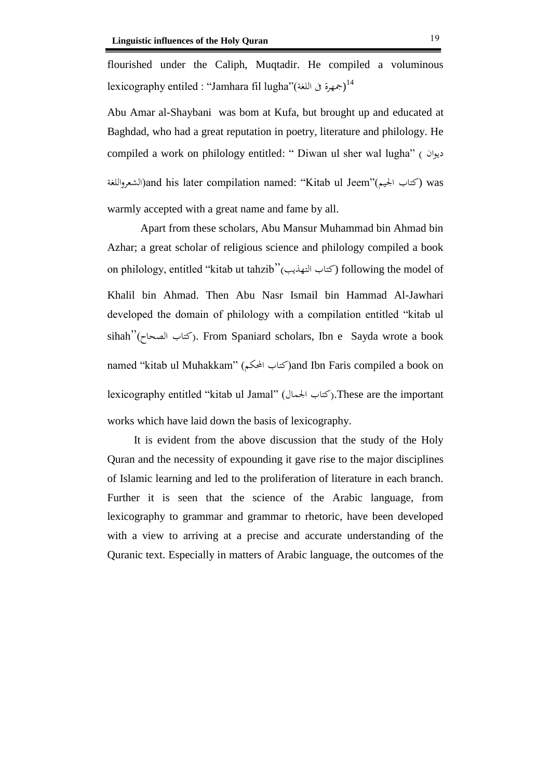flourished under the Caliph, Muqtadir. He compiled a voluminous lexicography entiled : "Jamhara fil lugha"(جمهرة فى اللغة) $^{14}$ 

Abu Amar al-Shaybani was bom at Kufa, but brought up and educated at Baghdad, who had a great reputation in poetry, literature and philology. He compiled a work on philology entitled: " Diwan ul sher wal lugha" ( ديوان الشعرواللغة(and his later compilation named: "Kitab ul Jeem"(اجليم كتاب (was warmly accepted with a great name and fame by all.

Apart from these scholars, Abu Mansur Muhammad bin Ahmad bin Azhar; a great scholar of religious science and philology compiled a book on philology, entitled "kitab ut tahzib"(التهذيب كتاب (following the model of Khalil bin Ahmad. Then Abu Nasr Ismail bin Hammad Al-Jawhari developed the domain of philology with a compilation entitled "kitab ul  $\sinh''(\cos \theta)$ اكتاب الصحاح). From Spaniard scholars, Ibn e Sayda wrote a book named "kitab ul Muhakkam" (كتاب المحكم) and Ibn Faris compiled a book on lexicography entitled "kitab ul Jamal" )اجلمال كتاب).These are the important works which have laid down the basis of lexicography.

It is evident from the above discussion that the study of the Holy Quran and the necessity of expounding it gave rise to the major disciplines of Islamic learning and led to the proliferation of literature in each branch. Further it is seen that the science of the Arabic language, from lexicography to grammar and grammar to rhetoric, have been developed with a view to arriving at a precise and accurate understanding of the Quranic text. Especially in matters of Arabic language, the outcomes of the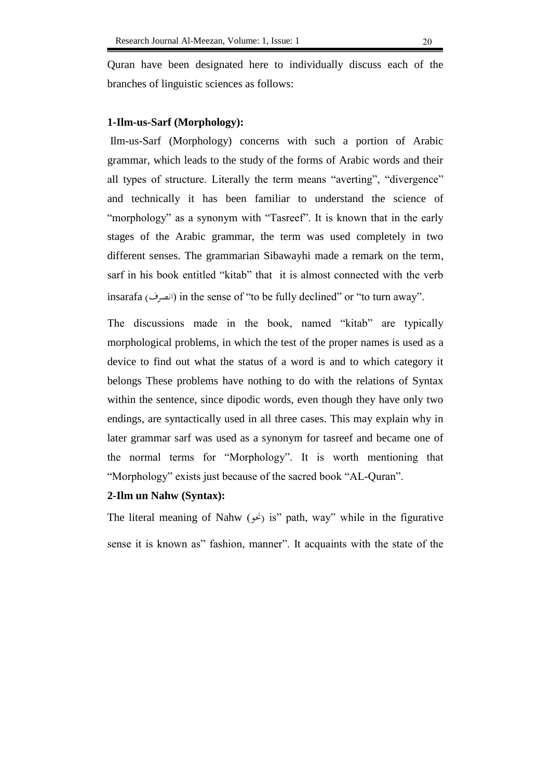Quran have been designated here to individually discuss each of the branches of linguistic sciences as follows:

#### **1-Ilm-us-Sarf (Morphology):**

Ilm-us-Sarf (Morphology) concerns with such a portion of Arabic grammar, which leads to the study of the forms of Arabic words and their all types of structure. Literally the term means "averting", "divergence" and technically it has been familiar to understand the science of "morphology" as a synonym with "Tasreef". It is known that in the early stages of the Arabic grammar, the term was used completely in two different senses. The grammarian Sibawayhi made a remark on the term, sarf in his book entitled "kitab" that it is almost connected with the verb insarafa (انصرف) in the sense of "to be fully declined" or "to turn away".

The discussions made in the book, named "kitab" are typically morphological problems, in which the test of the proper names is used as a device to find out what the status of a word is and to which category it belongs These problems have nothing to do with the relations of Syntax within the sentence, since dipodic words, even though they have only two endings, are syntactically used in all three cases. This may explain why in later grammar sarf was used as a synonym for tasreef and became one of the normal terms for "Morphology". It is worth mentioning that "Morphology" exists just because of the sacred book "AL-Quran".

### **2-Ilm un Nahw (Syntax):**

The literal meaning of Nahw  $(\rightarrow)$  is" path, way" while in the figurative sense it is known as" fashion, manner". It acquaints with the state of the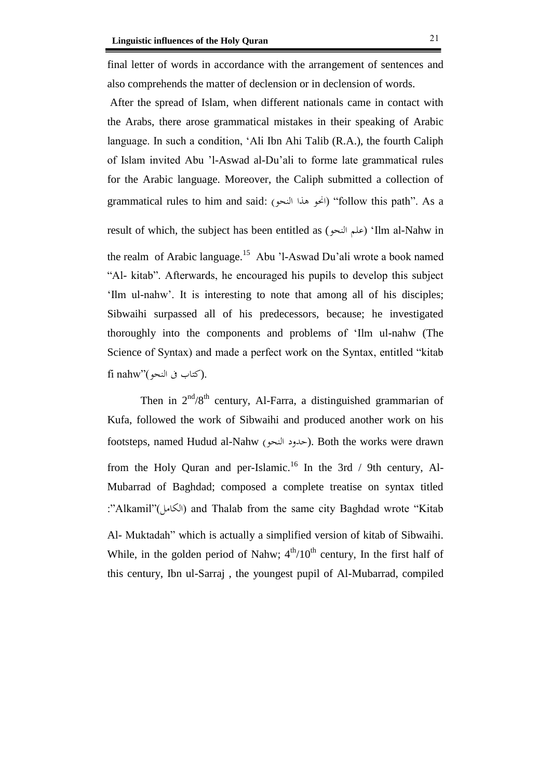final letter of words in accordance with the arrangement of sentences and also comprehends the matter of declension or in declension of words.

After the spread of Islam, when different nationals came in contact with the Arabs, there arose grammatical mistakes in their speaking of Arabic language. In such a condition, 'Ali Ibn Ahi Talib (R.A.), the fourth Caliph of Islam invited Abu 'l-Aswad al-Du'ali to forme late grammatical rules for the Arabic language. Moreover, the Caliph submitted a collection of grammatical rules to him and said: (النحو هذا احنو" (follow this path". As a

result of which, the subject has been entitled as (النحو علم' (Ilm al-Nahw in the realm of Arabic language.<sup>15</sup> Abu 'l-Aswad Du'ali wrote a book named "Al- kitab". Afterwards, he encouraged his pupils to develop this subject 'Ilm ul-nahw'. It is interesting to note that among all of his disciples; Sibwaihi surpassed all of his predecessors, because; he investigated thoroughly into the components and problems of 'Ilm ul-nahw (The Science of Syntax) and made a perfect work on the Syntax, entitled "kitab  $\tilde{\text{fi}}$  nahw" (كتاب فى النحو).

Then in  $2<sup>nd</sup>/8<sup>th</sup>$  century, Al-Farra, a distinguished grammarian of Kufa, followed the work of Sibwaihi and produced another work on his footsteps, named Hudud al-Nahw (حدود النحو). Both the works were drawn from the Holy Quran and per-Islamic.<sup>16</sup> In the 3rd / 9th century, Al-Mubarrad of Baghdad; composed a complete treatise on syntax titled :"Alkamil"(الكامل) and Thalab from the same city Baghdad wrote "Kitab Al- Muktadah" which is actually a simplified version of kitab of Sibwaihi. While, in the golden period of Nahw;  $4<sup>th</sup>/10<sup>th</sup>$  century, In the first half of

this century, Ibn ul-Sarraj , the youngest pupil of Al-Mubarrad, compiled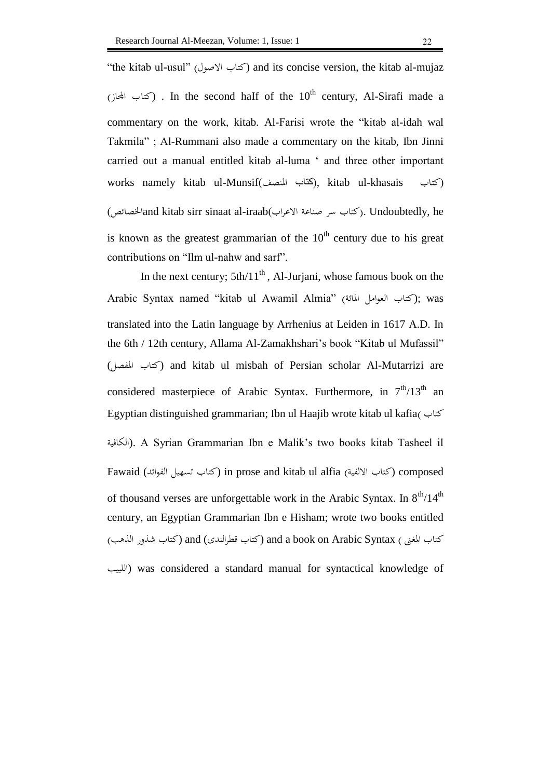"the kitab ul-usul" (كتاب الأصول) and its concise version, the kitab al-mujaz (كتاب الجحاز) . In the second half of the  $10^{\text{th}}$  century, Al-Sirafi made a commentary on the work, kitab. Al-Farisi wrote the "kitab al-idah wal Takmila" ; Al-Rummani also made a commentary on the kitab, Ibn Jinni carried out a manual entitled kitab al-luma ' and three other important works namely kitab ul-Munsif)املنصف كتاب), kitab ul-khasais كتاب) (كتاب سر صناعة الاعراب)and kitab sirr sinaat al-iraab). Undoubtedly, he is known as the greatest grammarian of the  $10<sup>th</sup>$  century due to his great contributions on "Ilm ul-nahw and sarf".

In the next century;  $5th/11<sup>th</sup>$ , Al-Jurjani, whose famous book on the Arabic Syntax named "kitab ul Awamil Almia" (كتاب العوامل المائة); was translated into the Latin language by Arrhenius at Leiden in 1617 A.D. In the 6th / 12th century, Allama Al-Zamakhshari's book "Kitab ul Mufassil" (كتاب المفصل) and kitab ul misbah of Persian scholar Al-Mutarrizi are considered masterpiece of Arabic Syntax. Furthermore, in  $7<sup>th</sup>/13<sup>th</sup>$  an Egyptian distinguished grammarian; Ibn ul Haajib wrote kitab ul kafia( كتاب الكافية(. A Syrian Grammarian Ibn e Malik's two books kitab Tasheel il Fawaid (كتاب تسهيل الفوائد) in prose and kitab ul alfia (كتاب تسهيل الفوائد) composed of thousand verses are unforgettable work in the Arabic Syntax. In  $8<sup>th</sup>/14<sup>th</sup>$ century, an Egyptian Grammarian Ibn e Hisham; wrote two books entitled كتاب املغىن ) Syntax Arabic on book a and) كتاب قطرالندى) and) كتاب شذور الذهب) اللبيب (was considered a standard manual for syntactical knowledge of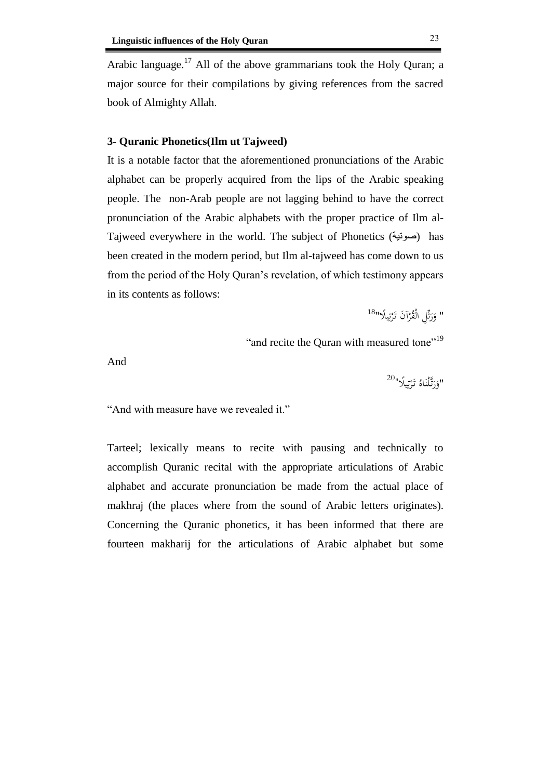Arabic language.<sup>17</sup> All of the above grammarians took the Holy Quran; a major source for their compilations by giving references from the sacred book of Almighty Allah.

## **3- Quranic Phonetics(Ilm ut Tajweed)**

It is a notable factor that the aforementioned pronunciations of the Arabic alphabet can be properly acquired from the lips of the Arabic speaking people. The non-Arab people are not lagging behind to have the correct pronunciation of the Arabic alphabets with the proper practice of Ilm al-Tajweed everywhere in the world. The subject of Phonetics (صوتية) has been created in the modern period, but Ilm al-tajweed has come down to us from the period of the Holy Quran's revelation, of which testimony appears in its contents as follows:

> " وَرَتِّلِ الْقُرْآنَ تَرْتِيلًا"<sup>18</sup> َ َ .<br>. ي ِ ت .<br>.

"and recite the Quran with measured tone"<sup>19</sup>

And

 $^{20}$ وَرَتَّلْنَاهُ تَرْتِيلًا $^{\prime\prime}$ .<br>أ َ َ ٍ<br>بُ :<br>تا .<br>.

"And with measure have we revealed it."

Tarteel; lexically means to recite with pausing and technically to accomplish Quranic recital with the appropriate articulations of Arabic alphabet and accurate pronunciation be made from the actual place of makhraj (the places where from the sound of Arabic letters originates). Concerning the Quranic phonetics, it has been informed that there are fourteen makharij for the articulations of Arabic alphabet but some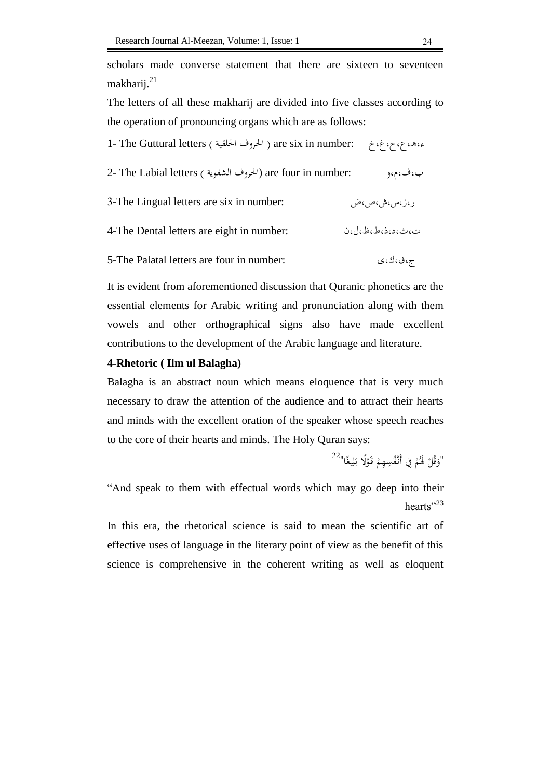scholars made converse statement that there are sixteen to seventeen makharij.<sup>21</sup>

The letters of all these makharij are divided into five classes according to the operation of pronouncing organs which are as follows:

| ع، ه، ع، ح، غ، خ – are six in number: الحروف الحلقية ) The Guttural letters ( الحروف الحلقية ) |                  |
|------------------------------------------------------------------------------------------------|------------------|
| 2- The Labial letters (الحروف الشفوية) are four in number:                                     | ب،ف،م،و          |
| 3-The Lingual letters are six in number:                                                       | ر ،ز ،س ،ش ،ص ،ض |
| 4-The Dental letters are eight in number:                                                      | ت،ٺ،د،ذ،ط،ظ،ل،ن  |
| 5-The Palatal letters are four in number:                                                      | ج،ق،ك،ي          |

It is evident from aforementioned discussion that Quranic phonetics are the essential elements for Arabic writing and pronunciation along with them vowels and other orthographical signs also have made excellent contributions to the development of the Arabic language and literature.

### **4-Rhetoric ( Ilm ul Balagha)**

Balagha is an abstract noun which means eloquence that is very much necessary to draw the attention of the audience and to attract their hearts and minds with the excellent oration of the speaker whose speech reaches to the core of their hearts and minds. The Holy Quran says:

```
ْ
^{22}لَوَقُلْ لَهُمْ فِي أَنْفُسِهِمْ قَوْلًا بَلِيغًا^{22}َ
                                                   ْ
                           ْ
        .<br>ف
            ڸ
             َ
              ب
```
"And speak to them with effectual words which may go deep into their hearts" $^{23}$ 

In this era, the rhetorical science is said to mean the scientific art of effective uses of language in the literary point of view as the benefit of this science is comprehensive in the coherent writing as well as eloquent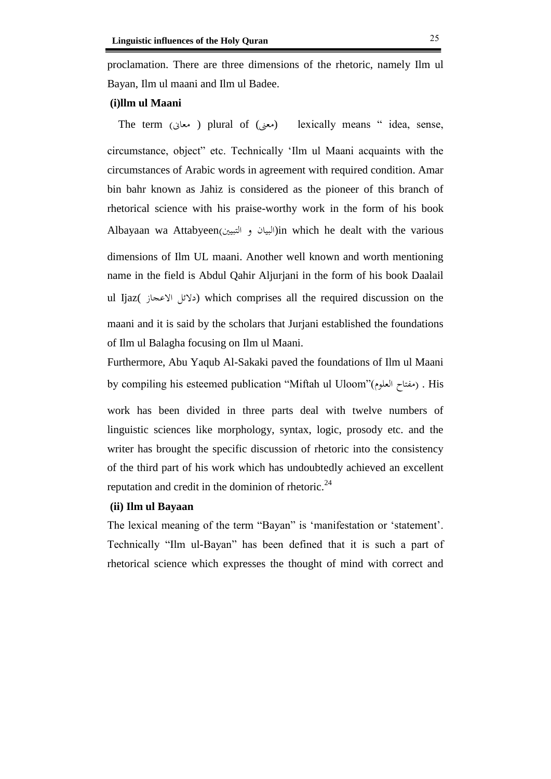proclamation. There are three dimensions of the rhetoric, namely Ilm ul

Bayan, Ilm ul maani and Ilm ul Badee.

### **(i)llm ul Maani**

The term (معنى ) plural of (معنى) lexically means " idea, sense, circumstance, object" etc. Technically 'Ilm ul Maani acquaints with the circumstances of Arabic words in agreement with required condition. Amar bin bahr known as Jahiz is considered as the pioneer of this branch of rhetorical science with his praise-worthy work in the form of his book Albayaan wa Attabyeen(البيان و التبيين)in which he dealt with the various dimensions of Ilm UL maani. Another well known and worth mentioning name in the field is Abdul Qahir Aljurjani in the form of his book Daalail ul Ijaz( دلائل الاعجاز) which comprises all the required discussion on the maani and it is said by the scholars that Jurjani established the foundations of Ilm ul Balagha focusing on Ilm ul Maani.

Furthermore, Abu Yaqub Al-Sakaki paved the foundations of Ilm ul Maani by compiling his esteemed publication "Miftah ul Uloom"(المفتاح العلوم) . His

work has been divided in three parts deal with twelve numbers of linguistic sciences like morphology, syntax, logic, prosody etc. and the writer has brought the specific discussion of rhetoric into the consistency of the third part of his work which has undoubtedly achieved an excellent reputation and credit in the dominion of rhetoric. $^{24}$ 

### **(ii) Ilm ul Bayaan**

The lexical meaning of the term "Bayan" is 'manifestation or 'statement'. Technically "Ilm ul-Bayan" has been defined that it is such a part of rhetorical science which expresses the thought of mind with correct and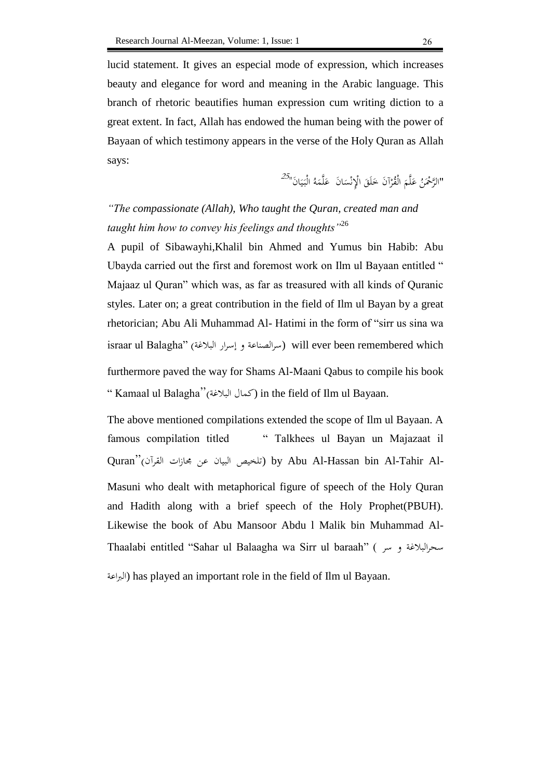lucid statement. It gives an especial mode of expression, which increases beauty and elegance for word and meaning in the Arabic language. This branch of rhetoric beautifies human expression cum writing diction to a great extent. In fact, Allah has endowed the human being with the power of Bayaan of which testimony appears in the verse of the Holy Quran as Allah says:

> "الرَّحْمَنُ عَلَّمَ الْقُرْآنَ خَلَقَ الْإِنْسَانَ عَلَّمَهُ الْبَيَانَ"<sup>25</sup>" .<br>. ا ر<br>گ  $\overline{\phantom{a}}$ ن  $\overline{\phantom{0}}$ َ ي َ  $\overline{a}$ ر<br>گ

*"The compassionate (Allah), Who taught the Quran, created man and*  taught him how to convey his feelings and thoughts<sup>"26</sup>

A pupil of Sibawayhi,Khalil bin Ahmed and Yumus bin Habib: Abu Ubayda carried out the first and foremost work on Ilm ul Bayaan entitled " Majaaz ul Quran" which was, as far as treasured with all kinds of Quranic styles. Later on; a great contribution in the field of Ilm ul Bayan by a great rhetorician; Abu Ali Muhammad Al- Hatimi in the form of "sirr us sina wa israar ul Balagha" (سرالصناعة و إسرار البلاغة) will ever been remembered which furthermore paved the way for Shams Al-Maani Qabus to compile his book " Kamaal ul Balagha"(البلغة كمال (in the field of Ilm ul Bayaan.

The above mentioned compilations extended the scope of Ilm ul Bayaan. A famous compilation titled " Talkhees ul Bayan un Majazaat il Quran"(القرآن جمازات عن البيان تلخيص (by Abu Al-Hassan bin Al-Tahir Al-Masuni who dealt with metaphorical figure of speech of the Holy Quran and Hadith along with a brief speech of the Holy Prophet(PBUH). Likewise the book of Abu Mansoor Abdu l Malik bin Muhammad Al-Thaalabi entitled "Sahar ul Balaagha wa Sirr ul baraah" ( سر و سحرالبلغة

الرباعة (has played an important role in the field of Ilm ul Bayaan.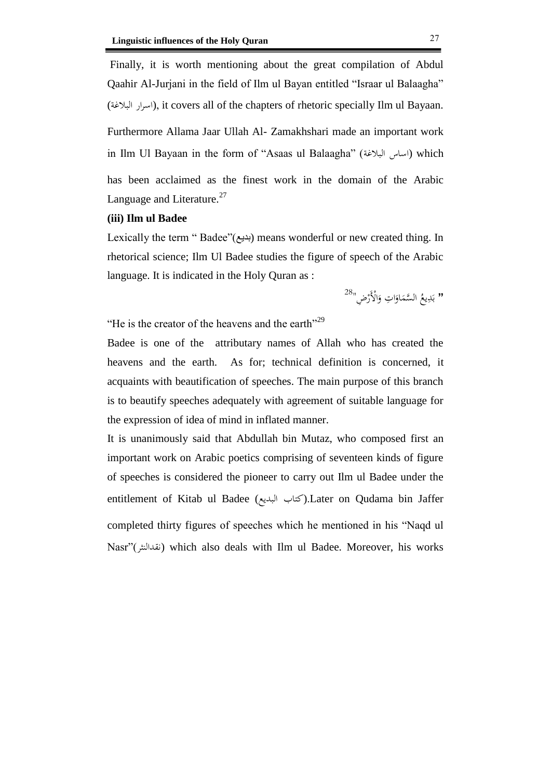Finally, it is worth mentioning about the great compilation of Abdul Qaahir Al-Jurjani in the field of Ilm ul Bayan entitled "Israar ul Balaagha" (اسرار البلاغة), it covers all of the chapters of rhetoric specially Ilm ul Bayaan. Furthermore Allama Jaar Ullah Al- Zamakhshari made an important work in Ilm Ul Bayaan in the form of "Asaas ul Balaagha" (اساس البلاغة) which has been acclaimed as the finest work in the domain of the Arabic Language and Literature.<sup>27</sup>

### **(iii) Ilm ul Badee**

Lexically the term " Badee"(بديع) means wonderful or new created thing. In rhetorical science; Ilm Ul Badee studies the figure of speech of the Arabic language. It is indicated in the Holy Quran as :

> •• بَدِيعُ السَّمَاوَاتِ وَالْأَرْضِ''<sup>28</sup> .<br>.<br>. َ ا َ َ ِ َ

"He is the creator of the heavens and the earth"<sup>29</sup>

Badee is one of the attributary names of Allah who has created the heavens and the earth. As for; technical definition is concerned, it acquaints with beautification of speeches. The main purpose of this branch is to beautify speeches adequately with agreement of suitable language for the expression of idea of mind in inflated manner.

It is unanimously said that Abdullah bin Mutaz, who composed first an important work on Arabic poetics comprising of seventeen kinds of figure of speeches is considered the pioneer to carry out Ilm ul Badee under the entitlement of Kitab ul Badee (كتاب البديع).Later on Qudama bin Jaffer completed thirty figures of speeches which he mentioned in his "Naqd ul Nasr"(نقدالنثر (which also deals with Ilm ul Badee. Moreover, his works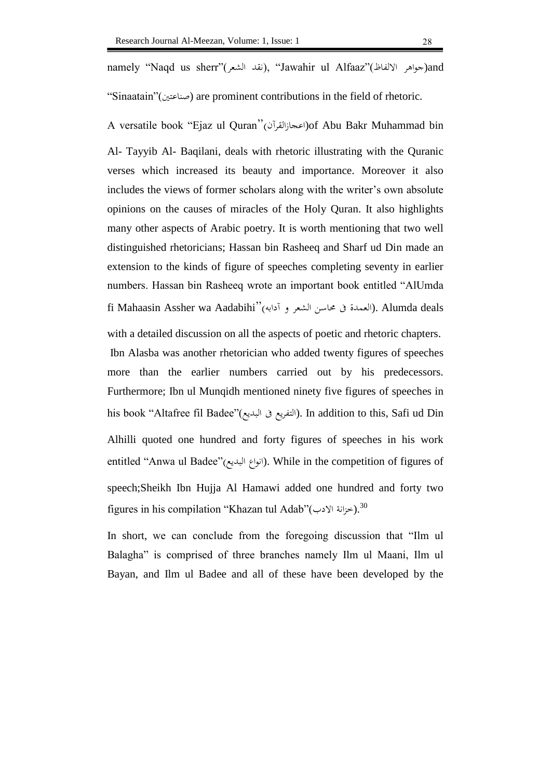namely "Naqd us sherr"(القد الشعر), "Jawahir ul Alfaaz"(اللفاظ جواهر الالفاظ) and

"Sinaatain"(صناعتين) are prominent contributions in the field of rhetoric.

A versatile book "Ejaz ul Quran"(اعجازالقرآن) of Abu Bakr Muhammad bin Al- Tayyib Al- Baqilani, deals with rhetoric illustrating with the Quranic verses which increased its beauty and importance. Moreover it also includes the views of former scholars along with the writer's own absolute opinions on the causes of miracles of the Holy Quran. It also highlights many other aspects of Arabic poetry. It is worth mentioning that two well distinguished rhetoricians; Hassan bin Rasheeq and Sharf ud Din made an extension to the kinds of figure of speeches completing seventy in earlier numbers. Hassan bin Rasheeq wrote an important book entitled "AlUmda fi Mahaasin Assher wa Aadabihi"(آدابه و الشعر حماسن ىف العمدة(. Alumda deals

with a detailed discussion on all the aspects of poetic and rhetoric chapters. Ibn Alasba was another rhetorician who added twenty figures of speeches more than the earlier numbers carried out by his predecessors. Furthermore; Ibn ul Munqidh mentioned ninety five figures of speeches in his book "Altafree fil Badee"(البديع ىف التفريع(. In addition to this, Safi ud Din Alhilli quoted one hundred and forty figures of speeches in his work entitled "Anwa ul Badee"(انواع البديع). While in the competition of figures of speech;Sheikh Ibn Hujja Al Hamawi added one hundred and forty two figures in his compilation "Khazan tul Adab"(خزانة الادب).  $^{30}$ 

In short, we can conclude from the foregoing discussion that "Ilm ul Balagha" is comprised of three branches namely Ilm ul Maani, Ilm ul Bayan, and Ilm ul Badee and all of these have been developed by the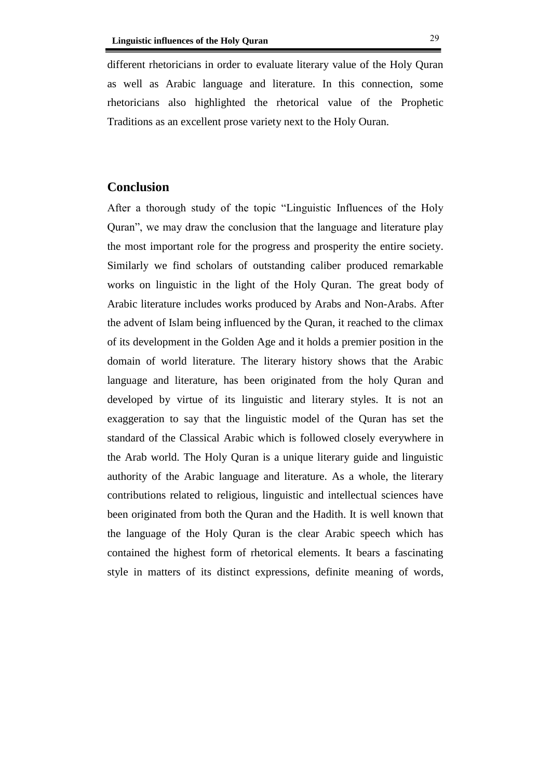different rhetoricians in order to evaluate literary value of the Holy Quran as well as Arabic language and literature. In this connection, some rhetoricians also highlighted the rhetorical value of the Prophetic Traditions as an excellent prose variety next to the Holy Ouran.

## **Conclusion**

After a thorough study of the topic "Linguistic Influences of the Holy Quran", we may draw the conclusion that the language and literature play the most important role for the progress and prosperity the entire society. Similarly we find scholars of outstanding caliber produced remarkable works on linguistic in the light of the Holy Quran. The great body of Arabic literature includes works produced by Arabs and Non-Arabs. After the advent of Islam being influenced by the Quran, it reached to the climax of its development in the Golden Age and it holds a premier position in the domain of world literature. The literary history shows that the Arabic language and literature, has been originated from the holy Quran and developed by virtue of its linguistic and literary styles. It is not an exaggeration to say that the linguistic model of the Quran has set the standard of the Classical Arabic which is followed closely everywhere in the Arab world. The Holy Quran is a unique literary guide and linguistic authority of the Arabic language and literature. As a whole, the literary contributions related to religious, linguistic and intellectual sciences have been originated from both the Quran and the Hadith. It is well known that the language of the Holy Quran is the clear Arabic speech which has contained the highest form of rhetorical elements. It bears a fascinating style in matters of its distinct expressions, definite meaning of words,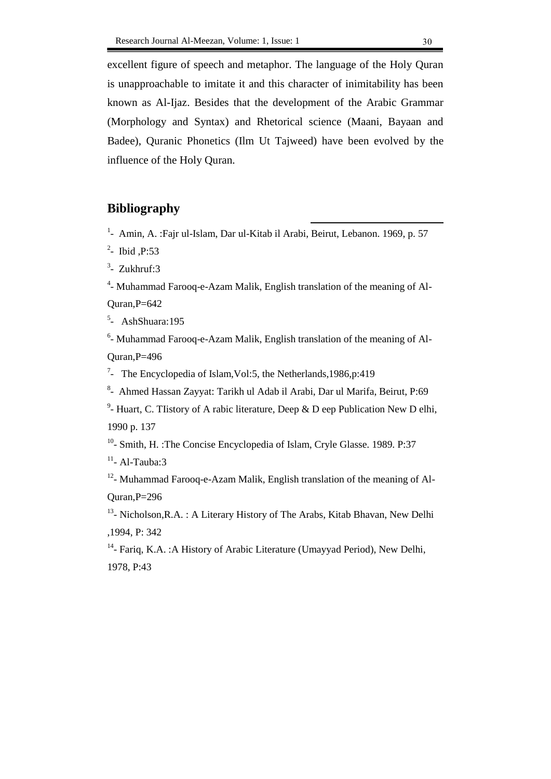excellent figure of speech and metaphor. The language of the Holy Quran is unapproachable to imitate it and this character of inimitability has been known as Al-Ijaz. Besides that the development of the Arabic Grammar (Morphology and Syntax) and Rhetorical science (Maani, Bayaan and Badee), Quranic Phonetics (Ilm Ut Tajweed) have been evolved by the influence of the Holy Quran.

# **Bibliography**

1 - Amin, A. :Fajr ul-Islam, Dar ul-Kitab il Arabi, Beirut, Lebanon. 1969, p. 57

- 2 Ibid ,P:53
- $3$  Zukhruf:3

<sup>4</sup>- Muhammad Farooq-e-Azam Malik, English translation of the meaning of Al-Quran,P=642

5 - AshShuara:195

<sup>6</sup>- Muhammad Farooq-e-Azam Malik, English translation of the meaning of Al-Quran,P=496

<sup>7</sup>- The Encyclopedia of Islam, Vol: 5, the Netherlands, 1986, p: 419

8 - Ahmed Hassan Zayyat: Tarikh ul Adab il Arabi, Dar ul Marifa, Beirut, P:69

<sup>9</sup>- Huart, C. Tlistory of A rabic literature, Deep & D eep Publication New D elhi, 1990 p. 137

<sup>10</sup>- Smith, H. :The Concise Encyclopedia of Islam, Cryle Glasse. 1989. P:37

 $11 -$ Al-Tauba:3

<sup>12</sup>- Muhammad Farooq-e-Azam Malik, English translation of the meaning of Al-Quran,P=296

<sup>13</sup>- Nicholson, R.A. : A Literary History of The Arabs, Kitab Bhavan, New Delhi ,1994, P: 342

<sup>14</sup>- Fariq, K.A. : A History of Arabic Literature (Umayyad Period), New Delhi, 1978, P:43